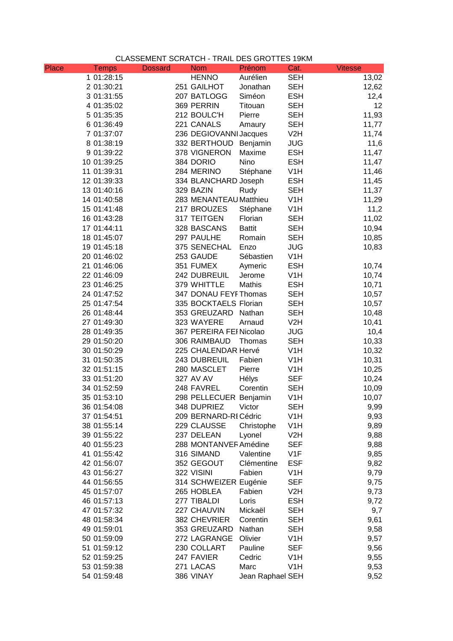## CLASSEMENT SCRATCH - TRAIL DES GROTTES 19KM

| Place | Temps       | <b>Dossard</b> | <b>Nom</b>              | Prénom           | Cat.             | <b>Vitesse</b> |
|-------|-------------|----------------|-------------------------|------------------|------------------|----------------|
|       | 1 01:28:15  |                | <b>HENNO</b>            | Aurélien         | <b>SEH</b>       | 13,02          |
|       | 2 01:30:21  |                | 251 GAILHOT             | Jonathan         | <b>SEH</b>       | 12,62          |
|       | 3 01:31:55  |                | 207 BATLOGG             | Siméon           | <b>ESH</b>       | 12,4           |
|       | 4 01:35:02  |                | 369 PERRIN              | Titouan          | <b>SEH</b>       | 12             |
|       | 5 01:35:35  |                | 212 BOULC'H             | Pierre           | <b>SEH</b>       | 11,93          |
|       | 6 01:36:49  |                | 221 CANALS              | Amaury           | <b>SEH</b>       | 11,77          |
|       | 7 01:37:07  |                | 236 DEGIOVANNI Jacques  |                  | V2H              | 11,74          |
|       | 8 01:38:19  |                | 332 BERTHOUD            | Benjamin         | <b>JUG</b>       | 11,6           |
|       | 9 01:39:22  |                | 378 VIGNERON            | Maxime           | <b>ESH</b>       | 11,47          |
|       | 10 01:39:25 |                | 384 DORIO               | Nino             | <b>ESH</b>       | 11,47          |
|       | 11 01:39:31 |                | 284 MERINO              | Stéphane         | V <sub>1</sub> H | 11,46          |
|       | 12 01:39:33 |                | 334 BLANCHARD Joseph    |                  | <b>ESH</b>       | 11,45          |
|       | 13 01:40:16 |                | 329 BAZIN               | Rudy             | <b>SEH</b>       | 11,37          |
|       | 14 01:40:58 |                | 283 MENANTEAU Matthieu  |                  | V <sub>1</sub> H | 11,29          |
|       | 15 01:41:48 |                | 217 BROUZES             | Stéphane         | V <sub>1</sub> H | 11,2           |
|       | 16 01:43:28 |                | 317 TEITGEN             | Florian          | <b>SEH</b>       | 11,02          |
|       | 17 01:44:11 |                | 328 BASCANS             | <b>Battit</b>    | <b>SEH</b>       | 10,94          |
|       | 18 01:45:07 |                | 297 PAULHE              | Romain           | <b>SEH</b>       | 10,85          |
|       | 19 01:45:18 |                | 375 SENECHAL            | Enzo             | <b>JUG</b>       | 10,83          |
|       | 20 01:46:02 |                | 253 GAUDE               | Sébastien        | V <sub>1</sub> H |                |
|       | 21 01:46:06 |                | 351 FUMEX               | Aymeric          | <b>ESH</b>       | 10,74          |
|       | 22 01:46:09 |                | 242 DUBREUIL            | Jerome           | V <sub>1</sub> H | 10,74          |
|       | 23 01:46:25 |                | 379 WHITTLE             | Mathis           | <b>ESH</b>       | 10,71          |
|       | 24 01:47:52 |                | 347 DONAU FEYF Thomas   |                  | <b>SEH</b>       | 10,57          |
|       | 25 01:47:54 |                | 335 BOCKTAELS Florian   |                  | <b>SEH</b>       | 10,57          |
|       |             |                | 353 GREUZARD            | Nathan           | <b>SEH</b>       |                |
|       | 26 01:48:44 |                | 323 WAYERE              |                  | V2H              | 10,48          |
|       | 27 01:49:30 |                |                         | Arnaud           |                  | 10,41          |
|       | 28 01:49:35 |                | 367 PEREIRA FEI Nicolao |                  | <b>JUG</b>       | 10,4           |
|       | 29 01:50:20 |                | 306 RAIMBAUD            | Thomas           | <b>SEH</b>       | 10,33          |
|       | 30 01:50:29 |                | 225 CHALENDAR Hervé     |                  | V <sub>1</sub> H | 10,32          |
|       | 31 01:50:35 |                | 243 DUBREUIL            | Fabien           | V <sub>1</sub> H | 10,31          |
|       | 32 01:51:15 |                | 280 MASCLET             | Pierre           | V <sub>1</sub> H | 10,25          |
|       | 33 01:51:20 |                | 327 AV AV               | Hélys            | <b>SEF</b>       | 10,24          |
|       | 34 01:52:59 |                | 248 FAVREL              | Corentin         | <b>SEH</b>       | 10,09          |
|       | 35 01:53:10 |                | 298 PELLECUER Benjamin  |                  | V <sub>1</sub> H | 10,07          |
|       | 36 01:54:08 |                | 348 DUPRIEZ             | Victor           | <b>SEH</b>       | 9,99           |
|       | 37 01:54:51 |                | 209 BERNARD-RI Cédric   |                  | V <sub>1</sub> H | 9,93           |
|       | 38 01:55:14 |                | 229 CLAUSSE             | Christophe       | V <sub>1</sub> H | 9,89           |
|       | 39 01:55:22 |                | 237 DELEAN              | Lyonel           | V2H              | 9,88           |
|       | 40 01:55:23 |                | 288 MONTANVER Amédine   |                  | <b>SEF</b>       | 9,88           |
|       | 41 01:55:42 |                | 316 SIMAND              | Valentine        | V <sub>1</sub> F | 9,85           |
|       | 42 01:56:07 |                | 352 GEGOUT              | Clémentine       | <b>ESF</b>       | 9,82           |
|       | 43 01:56:27 |                | 322 VISINI              | Fabien           | V <sub>1</sub> H | 9,79           |
|       | 44 01:56:55 |                | 314 SCHWEIZER Eugénie   |                  | <b>SEF</b>       | 9,75           |
|       | 45 01:57:07 |                | 265 HOBLEA              | Fabien           | V2H              | 9,73           |
|       | 46 01:57:13 |                | 277 TIBALDI             | Loris            | <b>ESH</b>       | 9,72           |
|       | 47 01:57:32 |                | 227 CHAUVIN             | Mickaël          | <b>SEH</b>       | 9,7            |
|       | 48 01:58:34 |                | 382 CHEVRIER            | Corentin         | <b>SEH</b>       | 9,61           |
|       | 49 01:59:01 |                | 353 GREUZARD            | Nathan           | <b>SEH</b>       | 9,58           |
|       | 50 01:59:09 |                | 272 LAGRANGE            | Olivier          | V <sub>1</sub> H | 9,57           |
|       | 51 01:59:12 |                | 230 COLLART             | Pauline          | <b>SEF</b>       | 9,56           |
|       | 52 01:59:25 |                | 247 FAVIER              | Cedric           | V <sub>1</sub> H | 9,55           |
|       | 53 01:59:38 |                | 271 LACAS               | Marc             | V <sub>1</sub> H | 9,53           |
|       | 54 01:59:48 |                | 386 VINAY               | Jean Raphael SEH |                  | 9,52           |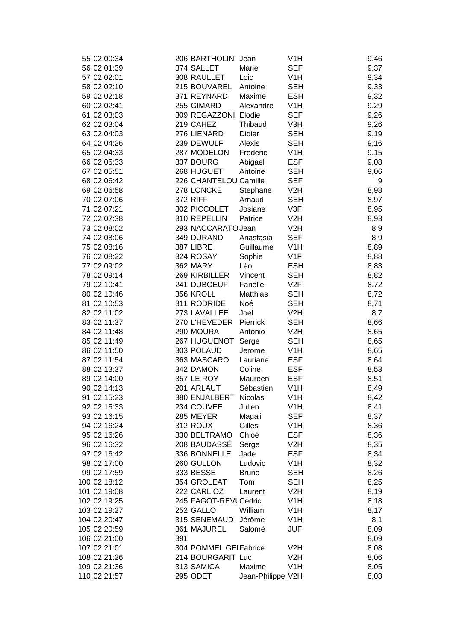| 55 02:00:34  |     | 206 BARTHOLIN          | Jean              | V <sub>1</sub> H | 9,46 |
|--------------|-----|------------------------|-------------------|------------------|------|
| 56 02:01:39  |     | 374 SALLET             | Marie             | <b>SEF</b>       | 9,37 |
| 57 02:02:01  |     | 308 RAULLET            | Loic              | V <sub>1</sub> H | 9,34 |
| 58 02:02:10  |     | 215 BOUVAREL           | Antoine           | <b>SEH</b>       | 9,33 |
| 59 02:02:18  |     | 371 REYNARD            | Maxime            | <b>ESH</b>       | 9,32 |
| 60 02:02:41  |     | 255 GIMARD             | Alexandre         | V <sub>1</sub> H | 9,29 |
| 61 02:03:03  |     | 309 REGAZZONI Elodie   |                   | <b>SEF</b>       | 9,26 |
| 62 02:03:04  |     | 219 CAHEZ              | Thibaud           | V3H              | 9,26 |
| 63 02:04:03  |     | 276 LIENARD            | Didier            | SEH              | 9,19 |
| 64 02:04:26  |     | 239 DEWULF             | Alexis            | <b>SEH</b>       | 9,16 |
| 65 02:04:33  |     | 287 MODELON            | Frederic          | V <sub>1</sub> H | 9,15 |
| 66 02:05:33  |     | 337 BOURG              | Abigael           | <b>ESF</b>       | 9,08 |
| 67 02:05:51  |     | 268 HUGUET             | Antoine           | SEH              | 9,06 |
| 68 02:06:42  |     | 226 CHANTELOU Camille  |                   | <b>SEF</b>       | 9    |
| 69 02:06:58  |     | 278 LONCKE             | Stephane          | V <sub>2</sub> H | 8,98 |
| 70 02:07:06  |     | <b>372 RIFF</b>        | Arnaud            | <b>SEH</b>       | 8,97 |
| 71 02:07:21  |     | 302 PICCOLET           | Josiane           | V3F              | 8,95 |
| 72 02:07:38  |     | 310 REPELLIN           | Patrice           | V <sub>2</sub> H | 8,93 |
| 73 02:08:02  |     | 293 NACCARATO Jean     |                   | V <sub>2</sub> H | 8,9  |
| 74 02:08:06  |     | 349 DURAND             | Anastasia         | <b>SEF</b>       | 8,9  |
| 75 02:08:16  |     | 387 LIBRE              | Guillaume         | V <sub>1</sub> H | 8,89 |
| 76 02:08:22  |     | 324 ROSAY              | Sophie            | V <sub>1</sub> F | 8,88 |
| 77 02:09:02  |     | 362 MARY               | Léo               | <b>ESH</b>       | 8,83 |
| 78 02:09:14  |     | 269 KIRBILLER          | Vincent           | <b>SEH</b>       | 8,82 |
| 79 02:10:41  |     | 241 DUBOEUF            | Fanélie           | V2F              | 8,72 |
| 80 02:10:46  |     | 356 KROLL              | Matthias          | SEH              | 8,72 |
| 81 02:10:53  |     | 311 RODRIDE            | Noé               | SEH              | 8,71 |
| 82 02:11:02  |     | 273 LAVALLEE           | Joel              | V <sub>2</sub> H | 8,7  |
| 83 02:11:37  |     | 270 L'HEVEDER          | Pierrick          | <b>SEH</b>       | 8,66 |
| 84 02:11:48  |     | 290 MOURA              | Antonio           | V2H              | 8,65 |
| 85 02:11:49  |     | 267 HUGUENOT           | Serge             | <b>SEH</b>       | 8,65 |
| 86 02:11:50  |     | 303 POLAUD             | Jerome            | V <sub>1</sub> H | 8,65 |
| 87 02:11:54  |     | 363 MASCARO            | Lauriane          | <b>ESF</b>       | 8,64 |
| 88 02:13:37  |     | 342 DAMON              | Coline            | <b>ESF</b>       | 8,53 |
| 89 02:14:00  |     | 357 LE ROY             | Maureen           | <b>ESF</b>       | 8,51 |
| 90 02:14:13  |     | 201 ARLAUT             | Sébastien         | V <sub>1</sub> H | 8,49 |
| 91 02:15:23  |     | 380 ENJALBERT          | Nicolas           | V <sub>1</sub> H | 8,42 |
| 92 02:15:33  |     | 234 COUVEE             | Julien            | V1H              | 8,41 |
| 93 02:16:15  |     | 285 MEYER              | Magali            | <b>SEF</b>       | 8,37 |
| 94 02:16:24  |     | 312 ROUX               | Gilles            | V1H              | 8,36 |
| 95 02:16:26  |     | 330 BELTRAMO           | Chloé             | <b>ESF</b>       | 8,36 |
| 96 02:16:32  |     | 208 BAUDASSÉ           | Serge             | V2H              | 8,35 |
| 97 02:16:42  |     | 336 BONNELLE           | Jade              | <b>ESF</b>       | 8,34 |
| 98 02:17:00  |     | 260 GULLON             | Ludovic           | V <sub>1</sub> H | 8,32 |
| 99 02:17:59  |     | 333 BESSE              | <b>Bruno</b>      | <b>SEH</b>       | 8,26 |
| 100 02:18:12 |     | 354 GROLEAT            | Tom               | SEH              | 8,25 |
| 101 02:19:08 |     | 222 CARLIOZ            | Laurent           | V <sub>2</sub> H | 8,19 |
| 102 02:19:25 |     | 245 FAGOT-REVI Cédric  |                   | V <sub>1</sub> H | 8,18 |
| 103 02:19:27 |     | 252 GALLO              | William           | V <sub>1</sub> H | 8,17 |
| 104 02:20:47 |     | 315 SENEMAUD           | Jérôme            | V <sub>1</sub> H | 8,1  |
| 105 02:20:59 |     | 361 MAJUREL            | Salomé            | JUF              | 8,09 |
| 106 02:21:00 | 391 |                        |                   |                  | 8,09 |
| 107 02:21:01 |     | 304 POMMEL GEI Fabrice |                   | V <sub>2</sub> H | 8,08 |
| 108 02:21:26 |     | 214 BOURGARIT Luc      |                   | V2H              | 8,06 |
| 109 02:21:36 |     | 313 SAMICA             | Maxime            | V <sub>1</sub> H | 8,05 |
| 110 02:21:57 |     | 295 ODET               | Jean-Philippe V2H |                  | 8,03 |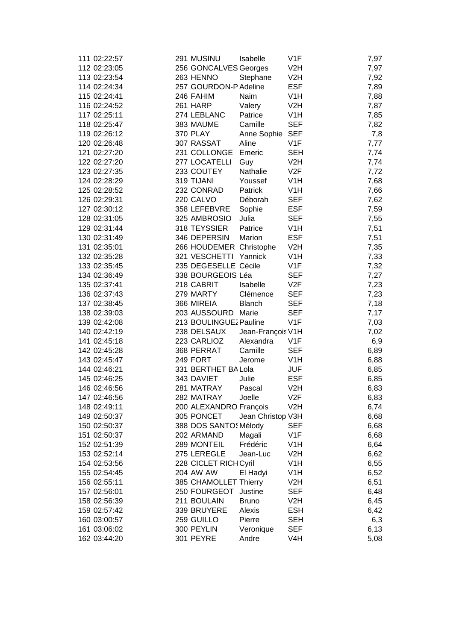| 111 02:22:57                 | 291 MUSINU               | Isabelle          | V1F              | 7,97 |
|------------------------------|--------------------------|-------------------|------------------|------|
| 112 02:23:05                 | 256 GONCALVES Georges    |                   | V <sub>2</sub> H |      |
|                              |                          |                   |                  | 7,97 |
| 113 02:23:54                 | 263 HENNO                | Stephane          | V2H              | 7,92 |
| 114 02:24:34                 | 257 GOURDON-P Adeline    |                   | <b>ESF</b>       | 7,89 |
| 115 02:24:41                 | 246 FAHIM                | Naim              | V <sub>1</sub> H | 7,88 |
| 116 02:24:52                 | 261 HARP                 | Valery            | V <sub>2</sub> H | 7,87 |
| 117 02:25:11                 | 274 LEBLANC              | Patrice           | V <sub>1</sub> H | 7,85 |
| 118 02:25:47                 | 383 MAUME                | Camille           | <b>SEF</b>       | 7,82 |
| 119 02:26:12                 | <b>370 PLAY</b>          | Anne Sophie SEF   |                  | 7,8  |
| 120 02:26:48                 | 307 RASSAT               | Aline             | V1F              | 7,77 |
| 121 02:27:20                 | 231 COLLONGE             | Emeric            | <b>SEH</b>       | 7,74 |
| 122 02:27:20                 | 277 LOCATELLI            | Guy               | V2H              | 7,74 |
| 123 02:27:35                 | 233 COUTEY               | Nathalie          | V2F              | 7,72 |
| 124 02:28:29                 | 319 TIJANI               | Youssef           | V <sub>1</sub> H | 7,68 |
| 125 02:28:52                 | 232 CONRAD               | Patrick           | V <sub>1</sub> H | 7,66 |
| 126 02:29:31                 | 220 CALVO                | Déborah           | <b>SEF</b>       | 7,62 |
| 127 02:30:12                 | 358 LEFEBVRE             | Sophie            | <b>ESF</b>       | 7,59 |
| 128 02:31:05                 | 325 AMBROSIO             | Julia             | <b>SEF</b>       | 7,55 |
| 129 02:31:44                 | 318 TEYSSIER             | Patrice           | V <sub>1</sub> H | 7,51 |
| 130 02:31:49                 | 346 DEPERSIN             | Marion            | <b>ESF</b>       | 7,51 |
| 131 02:35:01                 | 266 HOUDEMER Christophe  |                   | V <sub>2</sub> H | 7,35 |
| 132 02:35:28                 | 321 VESCHETTI Yannick    |                   | V <sub>1</sub> H | 7,33 |
| 133 02:35:45                 | 235 DEGESELLE Cécile     |                   | V1F              | 7,32 |
| 134 02:36:49                 | 338 BOURGEOIS Léa        |                   | <b>SEF</b>       | 7,27 |
| 135 02:37:41                 | 218 CABRIT               | Isabelle          | V2F              | 7,23 |
| 136 02:37:43                 | 279 MARTY                | Clémence          | <b>SEF</b>       | 7,23 |
| 137 02:38:45                 | 366 MIREIA               | <b>Blanch</b>     | <b>SEF</b>       | 7,18 |
| 138 02:39:03                 | 203 AUSSOURD Marie       |                   | <b>SEF</b>       | 7,17 |
| 139 02:42:08                 | 213 BOULINGUEZ Pauline   |                   | V1F              | 7,03 |
| 140 02:42:19                 | 238 DELSAUX              | Jean-François V1H |                  | 7,02 |
| 141 02:45:18                 | 223 CARLIOZ              | Alexandra         | V1F              | 6,9  |
| 142 02:45:28                 | 368 PERRAT               | Camille           | <b>SEF</b>       | 6,89 |
| 143 02:45:47                 | 249 FORT                 | Jerome            | V <sub>1</sub> H | 6,88 |
| 144 02:46:21                 | 331 BERTHET BA Lola      |                   | <b>JUF</b>       |      |
| 145 02:46:25                 | 343 DAVIET               | Julie             | <b>ESF</b>       | 6,85 |
|                              |                          |                   |                  | 6,85 |
| 146 02:46:56<br>147 02:46:56 | 281 MATRAY<br>282 MATRAY | Pascal<br>Joelle  | V <sub>2</sub> H | 6,83 |
|                              |                          |                   | V2F              | 6,83 |
| 148 02:49:11                 | 200 ALEXANDRO François   |                   | V <sub>2</sub> H | 6,74 |
| 149 02:50:37                 | 305 PONCET               | Jean Christop V3H |                  | 6,68 |
| 150 02:50:37                 | 388 DOS SANTO: Mélody    |                   | SEF              | 6,68 |
| 151 02:50:37                 | 202 ARMAND               | Magali            | V1F              | 6,68 |
| 152 02:51:39                 | 289 MONTEIL              | Frédéric          | V <sub>1</sub> H | 6,64 |
| 153 02:52:14                 | 275 LEREGLE              | Jean-Luc          | V <sub>2</sub> H | 6,62 |
| 154 02:53:56                 | 228 CICLET RICHCyril     |                   | V <sub>1</sub> H | 6,55 |
| 155 02:54:45                 | 204 AW AW                | El Hadyi          | V <sub>1</sub> H | 6,52 |
| 156 02:55:11                 | 385 CHAMOLLET Thierry    |                   | V <sub>2</sub> H | 6,51 |
| 157 02:56:01                 | 250 FOURGEOT             | Justine           | SEF              | 6,48 |
| 158 02:56:39                 | 211 BOULAIN              | <b>Bruno</b>      | V2H              | 6,45 |
| 159 02:57:42                 | 339 BRUYERE              | Alexis            | <b>ESH</b>       | 6,42 |
| 160 03:00:57                 | 259 GUILLO               | Pierre            | SEH              | 6,3  |
| 161 03:06:02                 | 300 PEYLIN               | Veronique         | SEF              | 6,13 |
| 162 03:44:20                 | 301 PEYRE                | Andre             | V4H              | 5,08 |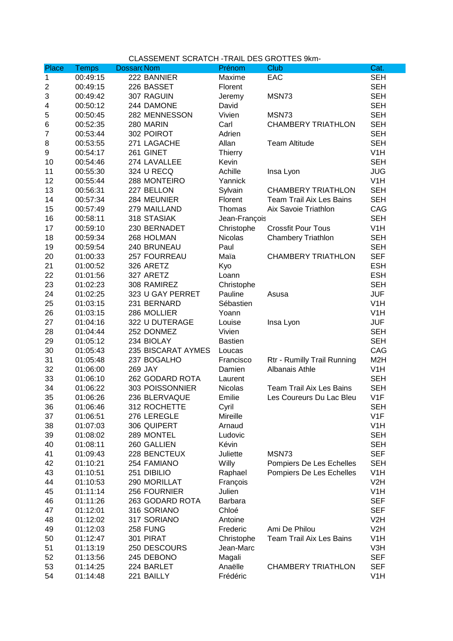## CLASSEMENT SCRATCH -TRAIL DES GROTTES 9km-

| Place          | <b>Temps</b> | <b>Dossarc Nom</b> | Prénom             | Club                            | Cat.                     |
|----------------|--------------|--------------------|--------------------|---------------------------------|--------------------------|
| 1              | 00:49:15     | 222 BANNIER        | Maxime             | EAC                             | <b>SEH</b>               |
| 2              | 00:49:15     | 226 BASSET         | Florent            |                                 | <b>SEH</b>               |
| 3              | 00:49:42     | 307 RAGUIN         | Jeremy             | MSN73                           | <b>SEH</b>               |
| 4              | 00:50:12     | 244 DAMONE         | David              |                                 | <b>SEH</b>               |
| 5              | 00:50:45     | 282 MENNESSON      | Vivien             | MSN73                           | <b>SEH</b>               |
| 6              | 00:52:35     | 280 MARIN          | Carl               | <b>CHAMBERY TRIATHLON</b>       | <b>SEH</b>               |
| $\overline{7}$ | 00:53:44     | 302 POIROT         | Adrien             |                                 | <b>SEH</b>               |
| 8              | 00:53:55     | 271 LAGACHE        | Allan              | <b>Team Altitude</b>            | <b>SEH</b>               |
| 9              | 00:54:17     | 261 GINET          | <b>Thierry</b>     |                                 | V <sub>1</sub> H         |
| 10             | 00:54:46     | 274 LAVALLEE       | Kevin              |                                 | <b>SEH</b>               |
| 11             | 00:55:30     | 324 U RECQ         | Achille            | Insa Lyon                       | <b>JUG</b>               |
| 12             | 00:55:44     | 288 MONTEIRO       | Yannick            |                                 | V <sub>1</sub> H         |
| 13             | 00:56:31     | 227 BELLON         | Sylvain            | <b>CHAMBERY TRIATHLON</b>       | <b>SEH</b>               |
| 14             | 00:57:34     | 284 MEUNIER        | Florent            | <b>Team Trail Aix Les Bains</b> | <b>SEH</b>               |
| 15             | 00:57:49     | 279 MAILLAND       | Thomas             | Aix Savoie Triathlon            | CAG                      |
| 16             | 00:58:11     | 318 STASIAK        | Jean-François      |                                 | <b>SEH</b>               |
| 17             | 00:59:10     | 230 BERNADET       | Christophe         | <b>Crossfit Pour Tous</b>       | V <sub>1</sub> H         |
| 18             | 00:59:34     | 268 HOLMAN         | <b>Nicolas</b>     | <b>Chambery Triathlon</b>       | <b>SEH</b>               |
| 19             | 00:59:54     | 240 BRUNEAU        | Paul               |                                 | <b>SEH</b>               |
| 20             | 01:00:33     | 257 FOURREAU       | Maïa               | <b>CHAMBERY TRIATHLON</b>       | <b>SEF</b>               |
| 21             | 01:00:52     | 326 ARETZ          | Kyo                |                                 | <b>ESH</b>               |
| 22             | 01:01:56     | 327 ARETZ          | Loann              |                                 | <b>ESH</b>               |
| 23             | 01:02:23     | 308 RAMIREZ        | Christophe         |                                 | <b>SEH</b>               |
| 24             | 01:02:25     | 323 U GAY PERRET   | Pauline            | Asusa                           | <b>JUF</b>               |
| 25             | 01:03:15     | 231 BERNARD        | Sébastien          |                                 | V <sub>1</sub> H         |
| 26             | 01:03:15     | 286 MOLLIER        | Yoann              |                                 | V <sub>1</sub> H         |
| 27             | 01:04:16     | 322 U DUTERAGE     | Louise             | Insa Lyon                       | JUF                      |
| 28             | 01:04:44     | 252 DONMEZ         | Vivien             |                                 | <b>SEH</b>               |
| 29             | 01:05:12     | 234 BIOLAY         | <b>Bastien</b>     |                                 | <b>SEH</b>               |
| 30             | 01:05:43     | 235 BISCARAT AYMES | Loucas             |                                 | CAG                      |
| 31             | 01:05:48     | 237 BOGALHO        | Francisco          | Rtr - Rumilly Trail Running     | M <sub>2</sub> H         |
| 32             | 01:06:00     | 269 JAY            | Damien             | Albanais Athle                  | V <sub>1</sub> H         |
| 33             | 01:06:10     | 262 GODARD ROTA    | Laurent            |                                 | <b>SEH</b>               |
| 34             | 01:06:22     | 303 POISSONNIER    | <b>Nicolas</b>     | <b>Team Trail Aix Les Bains</b> | <b>SEH</b>               |
| 35             | 01:06:26     | 236 BLERVAQUE      | Emilie             | Les Coureurs Du Lac Bleu        | V <sub>1</sub> F         |
| 36             | 01:06:46     | 312 ROCHETTE       | Cyril              |                                 | <b>SEH</b>               |
| 37             | 01:06:51     | 276 LEREGLE        | Mireille           |                                 | V <sub>1</sub> F         |
| 38             | 01:07:03     | 306 QUIPERT        | Arnaud             |                                 | V <sub>1</sub> H         |
| 39             | 01:08:02     | 289 MONTEL         | Ludovic            |                                 | <b>SEH</b>               |
| 40             | 01:08:11     | 260 GALLIEN        | Kévin              |                                 | <b>SEH</b>               |
| 41             | 01:09:43     | 228 BENCTEUX       | Juliette           | MSN73                           | <b>SEF</b>               |
| 42             | 01:10:21     | 254 FAMIANO        | Willy              | Pompiers De Les Echelles        | <b>SEH</b>               |
| 43             | 01:10:51     | 251 DIBILIO        | Raphael            | Pompiers De Les Echelles        | V <sub>1</sub> H         |
| 44             | 01:10:53     | 290 MORILLAT       |                    |                                 | V <sub>2</sub> H         |
| 45             | 01:11:14     | 256 FOURNIER       | François<br>Julien |                                 | V <sub>1</sub> H         |
| 46             | 01:11:26     | 263 GODARD ROTA    | <b>Barbara</b>     |                                 | <b>SEF</b>               |
| 47             | 01:12:01     | 316 SORIANO        | Chloé              |                                 | <b>SEF</b>               |
|                |              |                    |                    |                                 |                          |
| 48             | 01:12:02     | 317 SORIANO        | Antoine            |                                 | V2H<br>V2H               |
| 49             | 01:12:03     | 258 FUNG           | Frederic           | Ami De Philou                   |                          |
| 50             | 01:12:47     | 301 PIRAT          | Christophe         | <b>Team Trail Aix Les Bains</b> | V <sub>1</sub> H         |
| 51             | 01:13:19     | 250 DESCOURS       | Jean-Marc          |                                 | V3H                      |
| 52<br>53       | 01:13:56     | 245 DEBONO         | Magali<br>Anaëlle  | <b>CHAMBERY TRIATHLON</b>       | <b>SEF</b><br><b>SEF</b> |
|                | 01:14:25     | 224 BARLET         |                    |                                 |                          |
| 54             | 01:14:48     | 221 BAILLY         | Frédéric           |                                 | V <sub>1</sub> H         |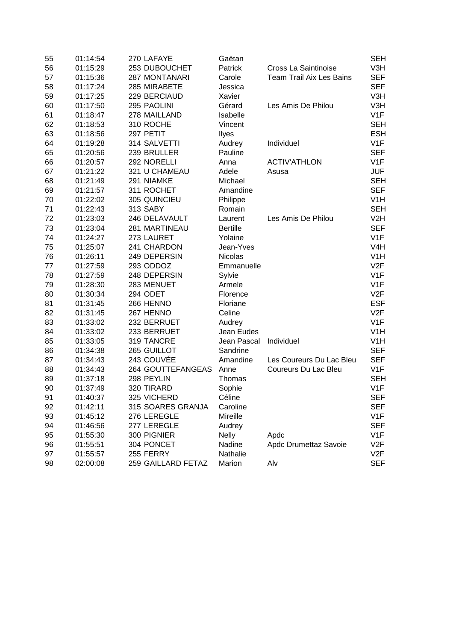| 55 | 01:14:54 | 270 LAFAYE         | Gaëtan          |                                 | <b>SEH</b>       |
|----|----------|--------------------|-----------------|---------------------------------|------------------|
| 56 | 01:15:29 | 253 DUBOUCHET      | Patrick         | Cross La Saintinoise            | V3H              |
| 57 | 01:15:36 | 287 MONTANARI      | Carole          | <b>Team Trail Aix Les Bains</b> | <b>SEF</b>       |
| 58 | 01:17:24 | 285 MIRABETE       | Jessica         |                                 | <b>SEF</b>       |
| 59 | 01:17:25 | 229 BERCIAUD       | Xavier          |                                 | V3H              |
| 60 | 01:17:50 | 295 PAOLINI        | Gérard          | Les Amis De Philou              | V3H              |
| 61 | 01:18:47 | 278 MAILLAND       | Isabelle        |                                 | V <sub>1</sub> F |
| 62 | 01:18:53 | 310 ROCHE          | Vincent         |                                 | <b>SEH</b>       |
| 63 | 01:18:56 | 297 PETIT          | Ilyes           |                                 | <b>ESH</b>       |
| 64 | 01:19:28 | 314 SALVETTI       | Audrey          | Individuel                      | V <sub>1</sub> F |
| 65 | 01:20:56 | 239 BRULLER        | Pauline         |                                 | <b>SEF</b>       |
| 66 | 01:20:57 | 292 NORELLI        | Anna            | <b>ACTIV'ATHLON</b>             | V1F              |
| 67 | 01:21:22 | 321 U CHAMEAU      | Adele           | Asusa                           | <b>JUF</b>       |
| 68 | 01:21:49 | 291 NIAMKE         | Michael         |                                 | <b>SEH</b>       |
| 69 | 01:21:57 | 311 ROCHET         | Amandine        |                                 | <b>SEF</b>       |
| 70 | 01:22:02 | 305 QUINCIEU       | Philippe        |                                 | V <sub>1</sub> H |
| 71 | 01:22:43 | 313 SABY           | Romain          |                                 | <b>SEH</b>       |
| 72 | 01:23:03 | 246 DELAVAULT      | Laurent         | Les Amis De Philou              | V2H              |
| 73 | 01:23:04 | 281 MARTINEAU      | <b>Bertille</b> |                                 | <b>SEF</b>       |
| 74 | 01:24:27 | 273 LAURET         | Yolaine         |                                 | V <sub>1</sub> F |
| 75 | 01:25:07 | 241 CHARDON        | Jean-Yves       |                                 | V <sub>4</sub> H |
| 76 | 01:26:11 | 249 DEPERSIN       | Nicolas         |                                 | V <sub>1</sub> H |
| 77 | 01:27:59 | 293 ODDOZ          | Emmanuelle      |                                 | V2F              |
| 78 | 01:27:59 | 248 DEPERSIN       | Sylvie          |                                 | V <sub>1</sub> F |
| 79 | 01:28:30 | 283 MENUET         | Armele          |                                 | V <sub>1</sub> F |
| 80 | 01:30:34 | 294 ODET           | Florence        |                                 | V2F              |
| 81 | 01:31:45 | 266 HENNO          | Floriane        |                                 | <b>ESF</b>       |
| 82 | 01:31:45 | 267 HENNO          | Celine          |                                 | V <sub>2F</sub>  |
| 83 | 01:33:02 | 232 BERRUET        | Audrey          |                                 | V1F              |
| 84 | 01:33:02 | 233 BERRUET        | Jean Eudes      |                                 | V <sub>1</sub> H |
| 85 | 01:33:05 | 319 TANCRE         | Jean Pascal     | Individuel                      | V <sub>1</sub> H |
| 86 | 01:34:38 | 265 GUILLOT        | Sandrine        |                                 | <b>SEF</b>       |
| 87 | 01:34:43 | 243 COUVÉE         | Amandine        | Les Coureurs Du Lac Bleu        | <b>SEF</b>       |
| 88 | 01:34:43 | 264 GOUTTEFANGEAS  | Anne            | <b>Coureurs Du Lac Bleu</b>     | V <sub>1</sub> F |
| 89 | 01:37:18 | 298 PEYLIN         | Thomas          |                                 | <b>SEH</b>       |
| 90 | 01:37:49 | 320 TIRARD         | Sophie          |                                 | V1F              |
| 91 | 01:40:37 | 325 VICHERD        | Céline          |                                 | <b>SEF</b>       |
| 92 | 01:42:11 | 315 SOARES GRANJA  | Caroline        |                                 | <b>SEF</b>       |
| 93 | 01:45:12 | 276 LEREGLE        | Mireille        |                                 | V1F              |
| 94 | 01:46:56 | 277 LEREGLE        | Audrey          |                                 | <b>SEF</b>       |
| 95 | 01:55:30 | 300 PIGNIER        | <b>Nelly</b>    | Apdc                            | V1F              |
| 96 | 01:55:51 | 304 PONCET         | Nadine          | Apdc Drumettaz Savoie           | V2F              |
| 97 | 01:55:57 | 255 FERRY          | Nathalie        |                                 | V2F              |
| 98 | 02:00:08 | 259 GAILLARD FETAZ | Marion          | Alv                             | <b>SEF</b>       |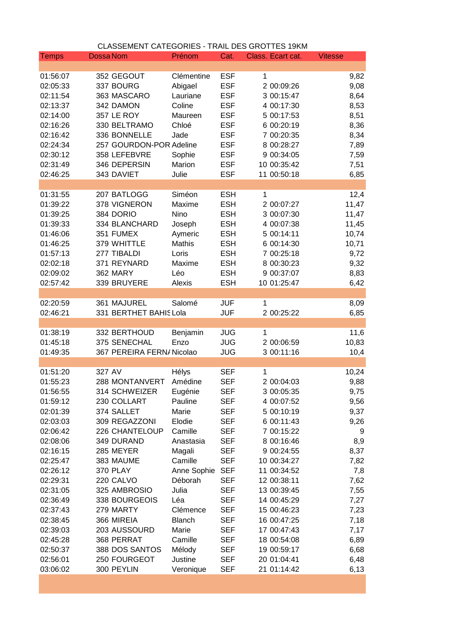|              | CLASSEMENT CATEGORIES - TRAIL DES GROTTES 19KM |               |            |                   |                |
|--------------|------------------------------------------------|---------------|------------|-------------------|----------------|
| <b>Temps</b> | <b>Dossa Nom</b>                               | Prénom        | Cat.       | Class. Ecart cat. | <b>Vitesse</b> |
|              |                                                |               |            |                   |                |
| 01:56:07     | 352 GEGOUT                                     | Clémentine    | <b>ESF</b> | 1                 | 9,82           |
| 02:05:33     | 337 BOURG                                      | Abigael       | <b>ESF</b> | 2 00:09:26        | 9,08           |
| 02:11:54     | 363 MASCARO                                    | Lauriane      | <b>ESF</b> | 3 00:15:47        | 8,64           |
| 02:13:37     | 342 DAMON                                      | Coline        | <b>ESF</b> | 4 00:17:30        | 8,53           |
| 02:14:00     | 357 LE ROY                                     | Maureen       | <b>ESF</b> | 5 00:17:53        | 8,51           |
| 02:16:26     | 330 BELTRAMO                                   | Chloé         | <b>ESF</b> | 6 00:20:19        | 8,36           |
| 02:16:42     | 336 BONNELLE                                   | Jade          | <b>ESF</b> | 7 00:20:35        | 8,34           |
| 02:24:34     | 257 GOURDON-POR Adeline                        |               | <b>ESF</b> | 8 00:28:27        | 7,89           |
| 02:30:12     | 358 LEFEBVRE                                   | Sophie        | <b>ESF</b> | 9 00:34:05        | 7,59           |
| 02:31:49     | 346 DEPERSIN                                   | Marion        | <b>ESF</b> | 10 00:35:42       | 7,51           |
| 02:46:25     | 343 DAVIET                                     | Julie         | <b>ESF</b> | 11 00:50:18       | 6,85           |
|              |                                                |               |            |                   |                |
| 01:31:55     | 207 BATLOGG                                    | Siméon        | <b>ESH</b> | 1                 | 12,4           |
| 01:39:22     | 378 VIGNERON                                   | Maxime        | <b>ESH</b> | 2 00:07:27        | 11,47          |
| 01:39:25     | 384 DORIO                                      | Nino          | <b>ESH</b> | 3 00:07:30        | 11,47          |
| 01:39:33     | 334 BLANCHARD                                  | Joseph        | <b>ESH</b> | 4 00:07:38        | 11,45          |
| 01:46:06     | 351 FUMEX                                      | Aymeric       | <b>ESH</b> | 5 00:14:11        | 10,74          |
| 01:46:25     | 379 WHITTLE                                    | <b>Mathis</b> | <b>ESH</b> | 6 00:14:30        | 10,71          |
| 01:57:13     | 277 TIBALDI                                    | Loris         | <b>ESH</b> | 7 00:25:18        | 9,72           |
| 02:02:18     | 371 REYNARD                                    | Maxime        | <b>ESH</b> | 8 00:30:23        | 9,32           |
| 02:09:02     | 362 MARY                                       | Léo           | <b>ESH</b> | 9 00:37:07        | 8,83           |
| 02:57:42     | 339 BRUYERE                                    | Alexis        | <b>ESH</b> | 10 01:25:47       | 6,42           |
|              |                                                |               |            |                   |                |
| 02:20:59     | 361 MAJUREL                                    | Salomé        | <b>JUF</b> | 1                 | 8,09           |
| 02:46:21     | 331 BERTHET BAHIS Lola                         |               | <b>JUF</b> | 2 00:25:22        | 6,85           |
|              |                                                |               |            |                   |                |
| 01:38:19     | 332 BERTHOUD                                   | Benjamin      | <b>JUG</b> | 1                 | 11,6           |
| 01:45:18     | 375 SENECHAL                                   | Enzo          | <b>JUG</b> | 2 00:06:59        | 10,83          |
| 01:49:35     | 367 PEREIRA FERN/ Nicolao                      |               | <b>JUG</b> | 3 00:11:16        |                |
|              |                                                |               |            |                   | 10,4           |
|              | 327 AV                                         | Hélys         |            |                   |                |
| 01:51:20     |                                                |               | <b>SEF</b> | 1                 | 10,24          |
| 01:55:23     | 288 MONTANVERT                                 | Amédine       | <b>SEF</b> | 2 00:04:03        | 9,88           |
| 01:56:55     | 314 SCHWEIZER                                  | Eugénie       | SEF        | 3 00:05:35        | 9,75           |
| 01:59:12     | 230 COLLART                                    | Pauline       | <b>SEF</b> | 4 00:07:52        | 9,56           |
| 02:01:39     | 374 SALLET                                     | Marie         | <b>SEF</b> | 5 00:10:19        | 9,37           |
| 02:03:03     | 309 REGAZZONI                                  | Elodie        | <b>SEF</b> | 6 00:11:43        | 9,26           |
| 02:06:42     | 226 CHANTELOUP                                 | Camille       | <b>SEF</b> | 7 00:15:22        | 9              |
| 02:08:06     | 349 DURAND                                     | Anastasia     | <b>SEF</b> | 8 00:16:46        | 8,9            |
| 02:16:15     | 285 MEYER                                      | Magali        | <b>SEF</b> | 9 00:24:55        | 8,37           |
| 02:25:47     | 383 MAUME                                      | Camille       | <b>SEF</b> | 10 00:34:27       | 7,82           |
| 02:26:12     | <b>370 PLAY</b>                                | Anne Sophie   | <b>SEF</b> | 11 00:34:52       | 7,8            |
| 02:29:31     | 220 CALVO                                      | Déborah       | <b>SEF</b> | 12 00:38:11       | 7,62           |
| 02:31:05     | 325 AMBROSIO                                   | Julia         | <b>SEF</b> | 13 00:39:45       | 7,55           |
| 02:36:49     | 338 BOURGEOIS                                  | Léa           | <b>SEF</b> | 14 00:45:29       | 7,27           |
| 02:37:43     | 279 MARTY                                      | Clémence      | <b>SEF</b> | 15 00:46:23       | 7,23           |
| 02:38:45     | 366 MIREIA                                     | <b>Blanch</b> | <b>SEF</b> | 16 00:47:25       | 7,18           |
| 02:39:03     | 203 AUSSOURD                                   | Marie         | <b>SEF</b> | 17 00:47:43       | 7,17           |
| 02:45:28     | 368 PERRAT                                     | Camille       | <b>SEF</b> | 18 00:54:08       | 6,89           |
| 02:50:37     | 388 DOS SANTOS                                 | Mélody        | <b>SEF</b> | 19 00:59:17       | 6,68           |
| 02:56:01     | 250 FOURGEOT                                   | Justine       | <b>SEF</b> | 20 01:04:41       | 6,48           |
| 03:06:02     | 300 PEYLIN                                     | Veronique     | <b>SEF</b> | 21 01:14:42       | 6,13           |
|              |                                                |               |            |                   |                |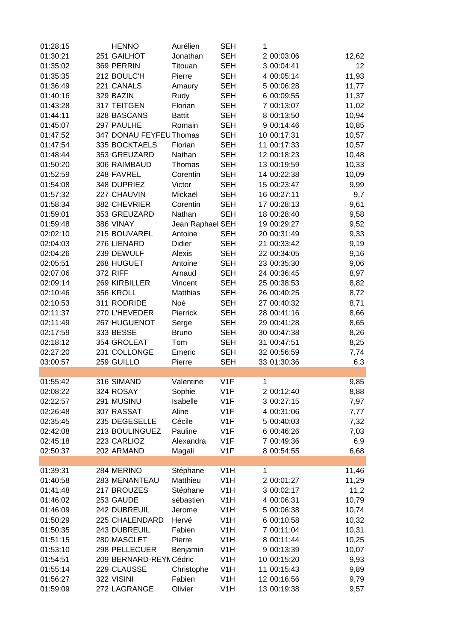| 01:28:15 | <b>HENNO</b>            | Aurélien         | <b>SEH</b>       | 1 |             |       |
|----------|-------------------------|------------------|------------------|---|-------------|-------|
| 01:30:21 | 251 GAILHOT             | Jonathan         | <b>SEH</b>       |   | 2 00:03:06  | 12,62 |
| 01:35:02 | 369 PERRIN              | Titouan          | <b>SEH</b>       |   | 3 00:04:41  | 12    |
| 01:35:35 | 212 BOULC'H             | Pierre           | <b>SEH</b>       |   | 4 00:05:14  | 11,93 |
| 01:36:49 | 221 CANALS              | Amaury           | <b>SEH</b>       |   | 5 00:06:28  | 11,77 |
| 01:40:16 | 329 BAZIN               | Rudy             | <b>SEH</b>       |   | 6 00:09:55  | 11,37 |
| 01:43:28 | 317 TEITGEN             | Florian          | <b>SEH</b>       |   | 7 00:13:07  | 11,02 |
| 01:44:11 | 328 BASCANS             | <b>Battit</b>    | <b>SEH</b>       |   | 8 00:13:50  | 10,94 |
| 01:45:07 | 297 PAULHE              | Romain           | <b>SEH</b>       |   | 9 00:14:46  | 10,85 |
|          |                         |                  |                  |   |             |       |
| 01:47:52 | 347 DONAU FEYFEU Thomas |                  | <b>SEH</b>       |   | 10 00:17:31 | 10,57 |
| 01:47:54 | 335 BOCKTAELS           | Florian          | <b>SEH</b>       |   | 11 00:17:33 | 10,57 |
| 01:48:44 | 353 GREUZARD            | Nathan           | <b>SEH</b>       |   | 12 00:18:23 | 10,48 |
| 01:50:20 | 306 RAIMBAUD            | Thomas           | <b>SEH</b>       |   | 13 00:19:59 | 10,33 |
| 01:52:59 | 248 FAVREL              | Corentin         | <b>SEH</b>       |   | 14 00:22:38 | 10,09 |
| 01:54:08 | 348 DUPRIEZ             | Victor           | <b>SEH</b>       |   | 15 00:23:47 | 9,99  |
| 01:57:32 | 227 CHAUVIN             | Mickaël          | <b>SEH</b>       |   | 16 00:27:11 | 9,7   |
| 01:58:34 | 382 CHEVRIER            | Corentin         | <b>SEH</b>       |   | 17 00:28:13 | 9,61  |
| 01:59:01 | 353 GREUZARD            | Nathan           | <b>SEH</b>       |   | 18 00:28:40 | 9,58  |
| 01:59:48 | 386 VINAY               | Jean Raphael SEH |                  |   | 19 00:29:27 | 9,52  |
| 02:02:10 | 215 BOUVAREL            | Antoine          | <b>SEH</b>       |   | 20 00:31:49 | 9,33  |
| 02:04:03 | 276 LIENARD             | <b>Didier</b>    | <b>SEH</b>       |   | 21 00:33:42 | 9,19  |
| 02:04:26 | 239 DEWULF              | Alexis           | <b>SEH</b>       |   | 22 00:34:05 | 9,16  |
| 02:05:51 | 268 HUGUET              | Antoine          | <b>SEH</b>       |   | 23 00:35:30 | 9,06  |
| 02:07:06 | <b>372 RIFF</b>         | Arnaud           | <b>SEH</b>       |   | 24 00:36:45 | 8,97  |
| 02:09:14 | 269 KIRBILLER           | Vincent          | <b>SEH</b>       |   | 25 00:38:53 | 8,82  |
| 02:10:46 | 356 KROLL               | Matthias         | <b>SEH</b>       |   | 26 00:40:25 | 8,72  |
| 02:10:53 | 311 RODRIDE             | Noé              | <b>SEH</b>       |   | 27 00:40:32 | 8,71  |
|          |                         |                  |                  |   |             |       |
| 02:11:37 | 270 L'HEVEDER           | Pierrick         | <b>SEH</b>       |   | 28 00:41:16 | 8,66  |
| 02:11:49 | 267 HUGUENOT            | Serge            | <b>SEH</b>       |   | 29 00:41:28 | 8,65  |
| 02:17:59 | 333 BESSE               | <b>Bruno</b>     | <b>SEH</b>       |   | 30 00:47:38 | 8,26  |
| 02:18:12 | 354 GROLEAT             | Tom              | <b>SEH</b>       |   | 31 00:47:51 | 8,25  |
| 02:27:20 | 231 COLLONGE            | Emeric           | <b>SEH</b>       |   | 32 00:56:59 | 7,74  |
| 03:00:57 | 259 GUILLO              | Pierre           | <b>SEH</b>       |   | 33 01:30:36 | 6,3   |
|          |                         |                  |                  |   |             |       |
| 01:55:42 | 316 SIMAND              | Valentine        | V1F              | 1 |             | 9,85  |
| 02:08:22 | 324 ROSAY               | Sophie           | V1F              |   | 2 00:12:40  | 8,88  |
| 02:22:57 | 291 MUSINU              | Isabelle         | V <sub>1</sub> F |   | 3 00:27:15  | 7,97  |
| 02:26:48 | 307 RASSAT              | Aline            | V <sub>1</sub> F |   | 4 00:31:06  | 7,77  |
| 02:35:45 | 235 DEGESELLE           | Cécile           | V <sub>1</sub> F |   | 5 00:40:03  | 7,32  |
| 02:42:08 | 213 BOULINGUEZ          | Pauline          | V <sub>1</sub> F |   | 6 00:46:26  | 7,03  |
| 02:45:18 | 223 CARLIOZ             | Alexandra        | V <sub>1</sub> F |   | 7 00:49:36  | 6,9   |
| 02:50:37 | 202 ARMAND              | Magali           | V <sub>1</sub> F |   | 8 00:54:55  | 6,68  |
|          |                         |                  |                  |   |             |       |
| 01:39:31 | 284 MERINO              | Stéphane         | V <sub>1</sub> H | 1 |             | 11,46 |
| 01:40:58 | 283 MENANTEAU           | Matthieu         | V <sub>1</sub> H |   | 2 00:01:27  | 11,29 |
| 01:41:48 | 217 BROUZES             | Stéphane         | V <sub>1</sub> H |   | 3 00:02:17  | 11,2  |
| 01:46:02 | 253 GAUDE               | sébastien        | V <sub>1</sub> H |   | 4 00:06:31  |       |
|          |                         |                  |                  |   |             | 10,79 |
| 01:46:09 | 242 DUBREUIL            | Jerome           | V <sub>1</sub> H |   | 5 00:06:38  | 10,74 |
| 01:50:29 | 225 CHALENDARD          | Hervé            | V <sub>1</sub> H |   | 6 00:10:58  | 10,32 |
| 01:50:35 | 243 DUBREUIL            | Fabien           | V <sub>1</sub> H |   | 7 00:11:04  | 10,31 |
| 01:51:15 | 280 MASCLET             | Pierre           | V <sub>1</sub> H |   | 8 00:11:44  | 10,25 |
| 01:53:10 | 298 PELLECUER           | Benjamin         | V <sub>1</sub> H |   | 9 00:13:39  | 10,07 |
| 01:54:51 | 209 BERNARD-REYN Cédric |                  | V <sub>1</sub> H |   | 10 00:15:20 | 9,93  |
| 01:55:14 | 229 CLAUSSE             | Christophe       | V <sub>1</sub> H |   | 11 00:15:43 | 9,89  |
| 01:56:27 | 322 VISINI              | Fabien           | V <sub>1</sub> H |   | 12 00:16:56 | 9,79  |
| 01:59:09 | 272 LAGRANGE            | Olivier          | V <sub>1</sub> H |   | 13 00:19:38 | 9,57  |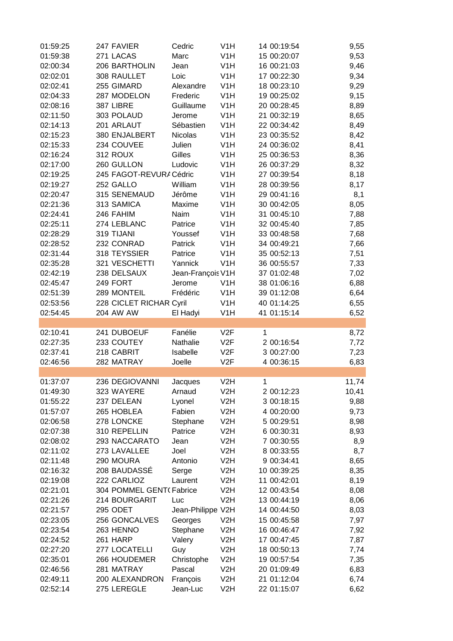| 01:59:25             | 247 FAVIER                    | Cedric               | V <sub>1</sub> H |   | 14 00:19:54                | 9,55         |
|----------------------|-------------------------------|----------------------|------------------|---|----------------------------|--------------|
| 01:59:38             | 271 LACAS                     | Marc                 | V <sub>1</sub> H |   | 15 00:20:07                | 9,53         |
| 02:00:34             | 206 BARTHOLIN                 | Jean                 | V <sub>1</sub> H |   | 16 00:21:03                | 9,46         |
| 02:02:01             | 308 RAULLET                   | Loic                 | V <sub>1</sub> H |   | 17 00:22:30                | 9,34         |
| 02:02:41             | 255 GIMARD                    | Alexandre            | V <sub>1</sub> H |   | 18 00:23:10                | 9,29         |
| 02:04:33             | 287 MODELON                   | Frederic             | V <sub>1</sub> H |   | 19 00:25:02                | 9,15         |
| 02:08:16             | 387 LIBRE                     | Guillaume            | V <sub>1</sub> H |   | 20 00:28:45                | 8,89         |
| 02:11:50             | 303 POLAUD                    | Jerome               | V <sub>1</sub> H |   | 21 00:32:19                | 8,65         |
| 02:14:13             | 201 ARLAUT                    | Sébastien            | V <sub>1</sub> H |   | 22 00:34:42                | 8,49         |
| 02:15:23             | 380 ENJALBERT                 | Nicolas              | V <sub>1</sub> H |   | 23 00:35:52                | 8,42         |
| 02:15:33             | 234 COUVEE                    |                      |                  |   |                            |              |
|                      |                               | Julien               | V <sub>1</sub> H |   | 24 00:36:02                | 8,41         |
| 02:16:24             | 312 ROUX                      | Gilles               | V <sub>1</sub> H |   | 25 00:36:53                | 8,36         |
| 02:17:00             | 260 GULLON                    | Ludovic              | V <sub>1</sub> H |   | 26 00:37:29                | 8,32         |
| 02:19:25             | 245 FAGOT-REVURA Cédric       |                      | V <sub>1</sub> H |   | 27 00:39:54                | 8,18         |
| 02:19:27             | 252 GALLO                     | William              | V <sub>1</sub> H |   | 28 00:39:56                | 8,17         |
| 02:20:47             | 315 SENEMAUD                  | Jérôme               | V <sub>1</sub> H |   | 29 00:41:16                | 8,1          |
| 02:21:36             | 313 SAMICA                    | Maxime               | V <sub>1</sub> H |   | 30 00:42:05                | 8,05         |
| 02:24:41             | 246 FAHIM                     | Naim                 | V <sub>1</sub> H |   | 31 00:45:10                | 7,88         |
| 02:25:11             | 274 LEBLANC                   | Patrice              | V <sub>1</sub> H |   | 32 00:45:40                | 7,85         |
| 02:28:29             | 319 TIJANI                    | Youssef              | V <sub>1</sub> H |   | 33 00:48:58                | 7,68         |
| 02:28:52             | 232 CONRAD                    | Patrick              | V <sub>1</sub> H |   | 34 00:49:21                | 7,66         |
| 02:31:44             | 318 TEYSSIER                  | Patrice              | V <sub>1</sub> H |   | 35 00:52:13                | 7,51         |
| 02:35:28             | 321 VESCHETTI                 | Yannick              | V <sub>1</sub> H |   | 36 00:55:57                | 7,33         |
| 02:42:19             | 238 DELSAUX                   | Jean-François V1H    |                  |   | 37 01:02:48                | 7,02         |
| 02:45:47             | 249 FORT                      | Jerome               | V <sub>1</sub> H |   | 38 01:06:16                | 6,88         |
| 02:51:39             | 289 MONTEIL                   | Frédéric             | V <sub>1</sub> H |   | 39 01:12:08                | 6,64         |
| 02:53:56             | 228 CICLET RICHAR Cyril       |                      | V <sub>1</sub> H |   | 40 01:14:25                | 6,55         |
| 02:54:45             | 204 AW AW                     | El Hadyi             | V <sub>1</sub> H |   | 41 01:15:14                | 6,52         |
|                      |                               |                      |                  |   |                            |              |
| 02:10:41             | 241 DUBOEUF                   | Fanélie              | V2F              | 1 |                            | 8,72         |
| 02:27:35             | 233 COUTEY                    | Nathalie             | V2F              |   | 2 00:16:54                 | 7,72         |
| 02:37:41             | 218 CABRIT                    | Isabelle             | V2F              |   | 3 00:27:00                 | 7,23         |
| 02:46:56             | 282 MATRAY                    | Joelle               | V2F              |   | 4 00:36:15                 | 6,83         |
|                      |                               |                      |                  |   |                            |              |
| 01:37:07             | <b>236 DEGIOVANNI</b>         | Jacques              | V <sub>2</sub> H | 1 |                            | 11,74        |
| 01:49:30             | 323 WAYERE                    | Arnaud               | V <sub>2</sub> H |   | 2 00:12:23                 | 10,41        |
| 01:55:22             | 237 DELEAN                    | Lyonel               | V2H              |   | 3 00:18:15                 | 9,88         |
|                      | 265 HOBLEA                    |                      |                  |   |                            |              |
| 01:57:07             |                               | Fabien               | V2H              |   | 4 00:20:00                 | 9,73         |
| 02:06:58             | 278 LONCKE                    | Stephane             | V <sub>2</sub> H |   | 5 00:29:51                 | 8,98         |
| 02:07:38             | 310 REPELLIN                  | Patrice              | V <sub>2</sub> H |   | 6 00:30:31                 | 8,93         |
| 02:08:02             | 293 NACCARATO                 | Jean                 | V2H              |   | 7 00:30:55                 | 8,9          |
| 02:11:02             | 273 LAVALLEE                  | Joel                 | V2H              |   | 8 00:33:55                 | 8,7          |
| 02:11:48             | 290 MOURA                     | Antonio              | V <sub>2</sub> H |   | 9 00:34:41                 | 8,65         |
| 02:16:32             | 208 BAUDASSÉ                  | Serge                | V2H              |   | 10 00:39:25                | 8,35         |
| 02:19:08             | 222 CARLIOZ                   | Laurent              | V2H              |   | 11 00:42:01                | 8,19         |
| 02:21:01             | 304 POMMEL GENT(Fabrice       |                      | V <sub>2</sub> H |   | 12 00:43:54                | 8,08         |
| 02:21:26             | 214 BOURGARIT                 | Luc                  | V2H              |   | 13 00:44:19                | 8,06         |
| 02:21:57             | 295 ODET                      | Jean-Philippe V2H    |                  |   | 14 00:44:50                | 8,03         |
| 02:23:05             | 256 GONCALVES                 | Georges              | V2H              |   | 15 00:45:58                | 7,97         |
| 02:23:54             | 263 HENNO                     | Stephane             | V2H              |   | 16 00:46:47                | 7,92         |
| 02:24:52             |                               |                      | V2H              |   |                            |              |
| 02:27:20             | <b>261 HARP</b>               | Valery               |                  |   | 17 00:47:45                | 7,87         |
|                      | 277 LOCATELLI                 | Guy                  | V <sub>2</sub> H |   | 18 00:50:13                | 7,74         |
|                      | 266 HOUDEMER                  |                      |                  |   |                            |              |
| 02:35:01             |                               | Christophe           | V2H              |   | 19 00:57:54                | 7,35         |
| 02:46:56             | 281 MATRAY                    | Pascal               | V2H              |   | 20 01:09:49                | 6,83         |
| 02:49:11<br>02:52:14 | 200 ALEXANDRON<br>275 LEREGLE | François<br>Jean-Luc | V2H<br>V2H       |   | 21 01:12:04<br>22 01:15:07 | 6,74<br>6,62 |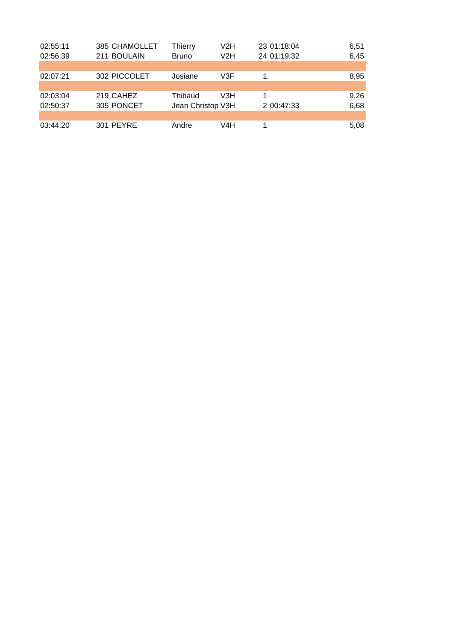| 02:55:11 | 385 CHAMOLLET | Thierry           | V2H | 23 01:18:04 | 6,51 |
|----------|---------------|-------------------|-----|-------------|------|
| 02:56:39 | 211 BOULAIN   | <b>Bruno</b>      | V2H | 24 01:19:32 | 6,45 |
|          |               |                   |     |             |      |
| 02:07:21 | 302 PICCOLET  | Josiane           | V3F |             | 8,95 |
|          |               |                   |     |             |      |
| 02:03:04 | 219 CAHEZ     | Thibaud           | V3H |             | 9,26 |
| 02:50:37 | 305 PONCET    | Jean Christop V3H |     | 2 00:47:33  | 6,68 |
|          |               |                   |     |             |      |
| 03:44:20 | 301 PEYRE     | Andre             | V4H |             | 5,08 |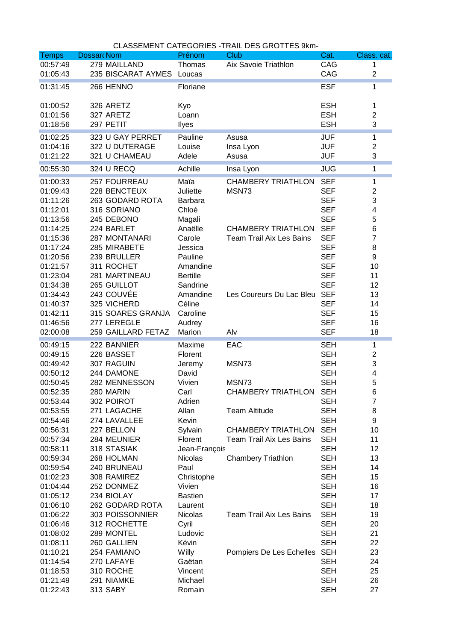| <b>Temps</b> | <b>Dossar Nom</b>  | Prénom                          | Club                            | Cat.                     | Class. cat.             |
|--------------|--------------------|---------------------------------|---------------------------------|--------------------------|-------------------------|
| 00:57:49     | 279 MAILLAND       | Thomas                          | Aix Savoie Triathlon            | CAG                      | 1                       |
| 01:05:43     | 235 BISCARAT AYMES | Loucas                          |                                 | CAG                      | $\overline{\mathbf{c}}$ |
| 01:31:45     | 266 HENNO          | Floriane                        |                                 | <b>ESF</b>               | 1                       |
|              |                    |                                 |                                 |                          |                         |
| 01:00:52     | 326 ARETZ          | Kyo                             |                                 | <b>ESH</b>               | 1                       |
| 01:01:56     | 327 ARETZ          | Loann                           |                                 | <b>ESH</b>               | $\overline{2}$          |
| 01:18:56     | 297 PETIT          | Ilyes                           |                                 | <b>ESH</b>               | 3                       |
|              |                    |                                 |                                 |                          |                         |
| 01:02:25     | 323 U GAY PERRET   | Pauline                         | Asusa                           | <b>JUF</b>               | 1                       |
| 01:04:16     | 322 U DUTERAGE     | Louise                          | Insa Lyon                       | <b>JUF</b>               | $\overline{2}$          |
| 01:21:22     | 321 U CHAMEAU      | Adele                           | Asusa                           | <b>JUF</b>               | 3                       |
| 00:55:30     | 324 U RECQ         | Achille                         | Insa Lyon                       | <b>JUG</b>               | 1                       |
| 01:00:33     | 257 FOURREAU       | Maïa                            | <b>CHAMBERY TRIATHLON</b>       | <b>SEF</b>               | 1                       |
| 01:09:43     | 228 BENCTEUX       | Juliette                        | MSN73                           | <b>SEF</b>               | $\overline{c}$          |
| 01:11:26     | 263 GODARD ROTA    | <b>Barbara</b>                  |                                 | <b>SEF</b>               | 3                       |
| 01:12:01     | 316 SORIANO        | Chloé                           |                                 | <b>SEF</b>               | 4                       |
| 01:13:56     | 245 DEBONO         | Magali                          |                                 | <b>SEF</b>               | 5                       |
| 01:14:25     | 224 BARLET         | Anaëlle                         | <b>CHAMBERY TRIATHLON</b>       | <b>SEF</b>               | 6                       |
| 01:15:36     | 287 MONTANARI      | Carole                          | <b>Team Trail Aix Les Bains</b> | <b>SEF</b>               | 7                       |
| 01:17:24     | 285 MIRABETE       | Jessica                         |                                 | <b>SEF</b>               | 8                       |
| 01:20:56     | 239 BRULLER        | Pauline                         |                                 | <b>SEF</b>               | 9                       |
| 01:21:57     | 311 ROCHET         | Amandine                        |                                 | <b>SEF</b>               | 10                      |
| 01:23:04     | 281 MARTINEAU      | <b>Bertille</b>                 |                                 | <b>SEF</b>               | 11                      |
| 01:34:38     | 265 GUILLOT        | Sandrine                        |                                 | <b>SEF</b>               | 12                      |
| 01:34:43     | 243 COUVÉE         | Amandine                        | Les Coureurs Du Lac Bleu        | <b>SEF</b>               | 13                      |
| 01:40:37     | 325 VICHERD        | Céline                          |                                 | <b>SEF</b>               | 14                      |
| 01:42:11     | 315 SOARES GRANJA  | Caroline                        |                                 | <b>SEF</b>               | 15                      |
| 01:46:56     | 277 LEREGLE        | Audrey                          |                                 | <b>SEF</b>               | 16                      |
| 02:00:08     | 259 GAILLARD FETAZ | Marion                          | Alv                             | <b>SEF</b>               | 18                      |
| 00:49:15     | 222 BANNIER        | Maxime                          | EAC                             | <b>SEH</b>               | 1                       |
| 00:49:15     | 226 BASSET         | Florent                         |                                 | <b>SEH</b>               | $\overline{c}$          |
| 00:49:42     | 307 RAGUIN         |                                 | MSN73                           | <b>SEH</b>               | 3                       |
| 00:50:12     | 244 DAMONE         | Jeremy<br>David                 |                                 | <b>SEH</b>               | 4                       |
| 00:50:45     | 282 MENNESSON      | Vivien                          | MSN73                           | <b>SEH</b>               | 5                       |
| 00:52:35     | 280 MARIN          | Carl                            | CHAMBERY TRIATHLON              | <b>SEH</b>               | 6                       |
| 00:53:44     | 302 POIROT         |                                 |                                 | <b>SEH</b>               | $\boldsymbol{7}$        |
| 00:53:55     | 271 LAGACHE        | Adrien<br>Allan                 | <b>Team Altitude</b>            | <b>SEH</b>               | 8                       |
| 00:54:46     | 274 LAVALLEE       | Kevin                           |                                 | <b>SEH</b>               | 9                       |
| 00:56:31     | 227 BELLON         | Sylvain                         | <b>CHAMBERY TRIATHLON</b>       | <b>SEH</b>               | 10                      |
| 00:57:34     | 284 MEUNIER        | Florent                         | <b>Team Trail Aix Les Bains</b> | <b>SEH</b>               | 11                      |
| 00:58:11     | 318 STASIAK        |                                 |                                 |                          | 12                      |
| 00:59:34     | 268 HOLMAN         | Jean-François<br><b>Nicolas</b> |                                 | <b>SEH</b><br><b>SEH</b> | 13                      |
|              |                    | Paul                            | <b>Chambery Triathlon</b>       |                          | 14                      |
| 00:59:54     | 240 BRUNEAU        |                                 |                                 | <b>SEH</b>               |                         |
| 01:02:23     | 308 RAMIREZ        | Christophe                      |                                 | <b>SEH</b>               | 15                      |
| 01:04:44     | 252 DONMEZ         | Vivien                          |                                 | <b>SEH</b>               | 16                      |
| 01:05:12     | 234 BIOLAY         | <b>Bastien</b>                  |                                 | <b>SEH</b>               | 17                      |
| 01:06:10     | 262 GODARD ROTA    | Laurent                         |                                 | <b>SEH</b>               | 18                      |
| 01:06:22     | 303 POISSONNIER    | Nicolas                         | <b>Team Trail Aix Les Bains</b> | <b>SEH</b>               | 19                      |
| 01:06:46     | 312 ROCHETTE       | Cyril                           |                                 | <b>SEH</b>               | 20                      |
| 01:08:02     | 289 MONTEL         | Ludovic                         |                                 | <b>SEH</b>               | 21                      |
| 01:08:11     | 260 GALLIEN        | Kévin                           |                                 | <b>SEH</b>               | 22                      |
| 01:10:21     | 254 FAMIANO        | Willy                           | Pompiers De Les Echelles        | <b>SEH</b>               | 23                      |
| 01:14:54     | 270 LAFAYE         | Gaëtan                          |                                 | <b>SEH</b>               | 24                      |
| 01:18:53     | 310 ROCHE          | Vincent                         |                                 | <b>SEH</b>               | 25                      |
| 01:21:49     | 291 NIAMKE         | Michael                         |                                 | <b>SEH</b>               | 26                      |
| 01:22:43     | 313 SABY           | Romain                          |                                 | <b>SEH</b>               | 27                      |